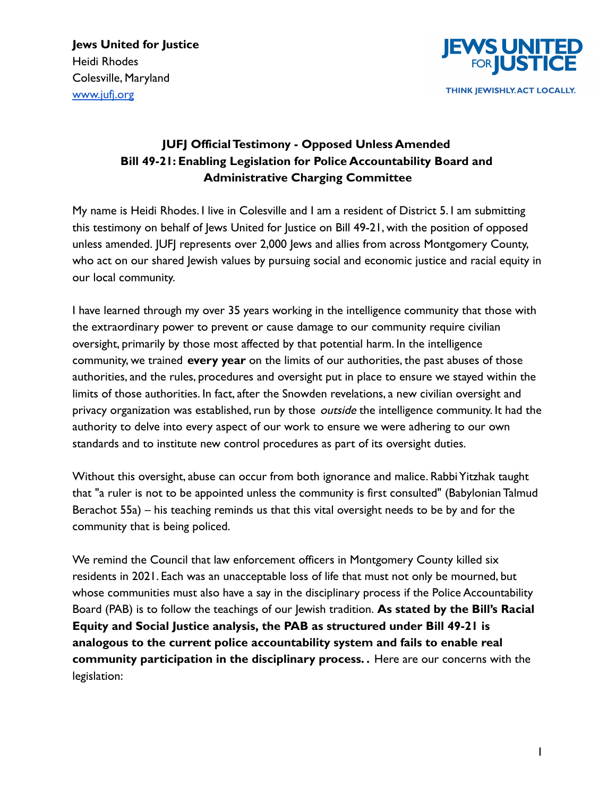

# **JUFJ Official Testimony - Opposed Unless Amended Bill 49-21: Enabling Legislation for Police Accountability Board and Administrative Charging Committee**

My name is Heidi Rhodes. I live in Colesville and I am a resident of District 5. I am submitting this testimony on behalf of Jews United for Justice on Bill 49-21, with the position of opposed unless amended. JUFJ represents over 2,000 Jews and allies from across Montgomery County, who act on our shared Jewish values by pursuing social and economic justice and racial equity in our local community.

I have learned through my over 35 years working in the intelligence community that those with the extraordinary power to prevent or cause damage to our community require civilian oversight, primarily by those most affected by that potential harm. In the intelligence community, we trained **every year** on the limits of our authorities, the past abuses of those authorities, and the rules, procedures and oversight put in place to ensure we stayed within the limits of those authorities. In fact, after the Snowden revelations, a new civilian oversight and privacy organization was established, run by those *outside* the intelligence community. It had the authority to delve into every aspect of our work to ensure we were adhering to our own standards and to institute new control procedures as part of its oversight duties.

Without this oversight, abuse can occur from both ignorance and malice. Rabbi Yitzhak taught that "a ruler is not to be appointed unless the community is first consulted" (Babylonian Talmud Berachot 55a) – his teaching reminds us that this vital oversight needs to be by and for the community that is being policed.

We remind the Council that law enforcement officers in Montgomery County killed six residents in 2021. Each was an unacceptable loss of life that must not only be mourned, but whose communities must also have a say in the disciplinary process if the Police Accountability Board (PAB) is to follow the teachings of our Jewish tradition. **As stated by the Bill's Racial Equity and Social Justice analysis, the PAB as structured under Bill 49-21 is analogous to the current police accountability system and fails to enable real community participation in the disciplinary process. .** Here are our concerns with the legislation: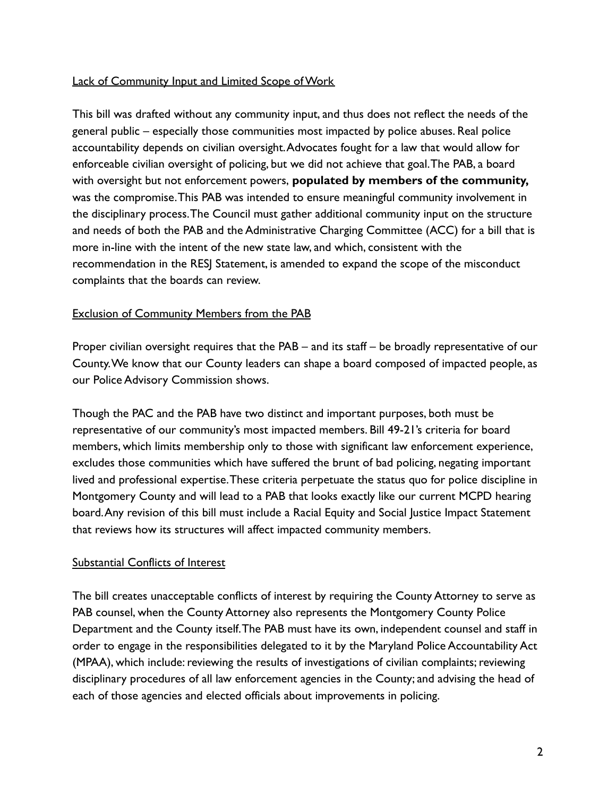# Lack of Community Input and Limited Scope of Work

This bill was drafted without any community input, and thus does not reflect the needs of the general public – especially those communities most impacted by police abuses. Real police accountability depends on civilian oversight.Advocates fought for a law that would allow for enforceable civilian oversight of policing, but we did not achieve that goal.The PAB, a board with oversight but not enforcement powers, **populated by members of the community,** was the compromise.This PAB was intended to ensure meaningful community involvement in the disciplinary process.The Council must gather additional community input on the structure and needs of both the PAB and the Administrative Charging Committee (ACC) for a bill that is more in-line with the intent of the new state law, and which, consistent with the recommendation in the RESJ Statement, is amended to expand the scope of the misconduct complaints that the boards can review.

### Exclusion of Community Members from the PAB

Proper civilian oversight requires that the PAB – and its staff – be broadly representative of our County.We know that our County leaders can shape a board composed of impacted people, as our Police Advisory Commission shows.

Though the PAC and the PAB have two distinct and important purposes, both must be representative of our community's most impacted members. Bill 49-21's criteria for board members, which limits membership only to those with significant law enforcement experience, excludes those communities which have suffered the brunt of bad policing, negating important lived and professional expertise.These criteria perpetuate the status quo for police discipline in Montgomery County and will lead to a PAB that looks exactly like our current MCPD hearing board.Any revision of this bill must include a Racial Equity and Social Justice Impact Statement that reviews how its structures will affect impacted community members.

#### Substantial Conflicts of Interest

The bill creates unacceptable conflicts of interest by requiring the County Attorney to serve as PAB counsel, when the County Attorney also represents the Montgomery County Police Department and the County itself.The PAB must have its own, independent counsel and staff in order to engage in the responsibilities delegated to it by the Maryland Police Accountability Act (MPAA), which include: reviewing the results of investigations of civilian complaints; reviewing disciplinary procedures of all law enforcement agencies in the County; and advising the head of each of those agencies and elected officials about improvements in policing.